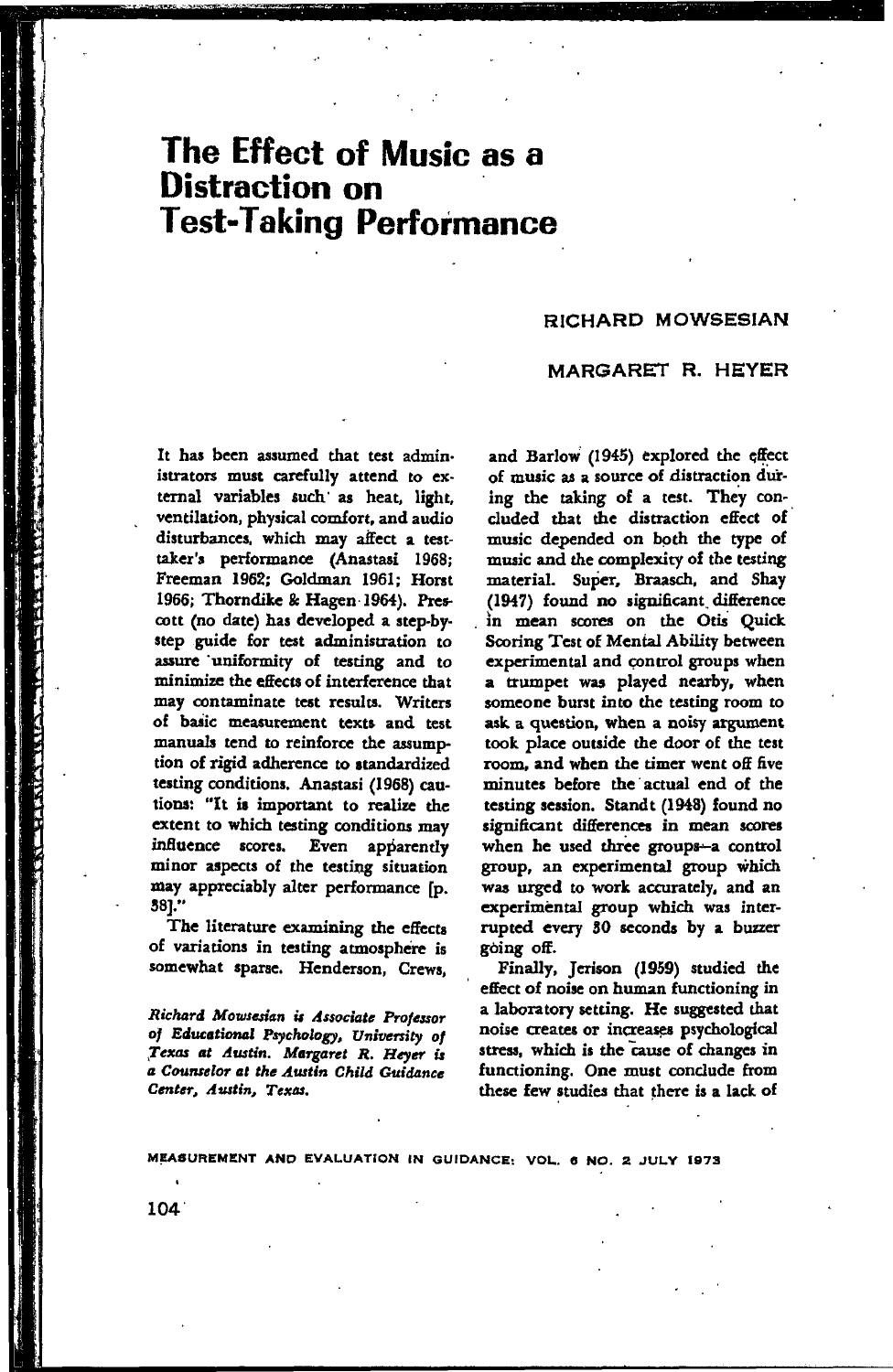# The Effect of Music as a Distraction on Test-Taking Performance

*mmaamcmm*

## **RICHARD MOWSESIAN**

# **MARGARET R. HEYER**

It has been assumed that test administrators must carefully attend to external variables such' as heat, light, ventilation, physical comfort, and audio disturbances, which may affect a testtaker's performance (Anastasi 1968; Freeman 1962; Goldman 1961; Horst 1966; Thorndike & Hagen-1964). Prescott (no date) has developed a step-bystep guide for test administration to assure 'uniformity of testing and to minimize the effects of interference that may contaminate test results. Writers of basic measurement texts and test manuals tend to reinforce the assumption of rigid adherence to standardized testing conditions. Anastasi (1968) cautions; " It is important to realize the extent to which testing conditions may influence scores. Even apparently minor aspects of the testing situation may appreciably alter performance [p.  $$81.$ 

The literature examining the effects of variations in testing atmosphere is somewhat sparse. Henderson, Crews,

*Richard Moxosesian it Associate Professor of Educational Psychology*, *University of Texas at Austin. Margaret R. Meyer is a Counselor at the Austin Child Guidance Center*, *Austin, Texas.*

and Barlow (1945) explored the effect of music as a source of distraction during the taking of a test. They concluded that the distraction effect of music depended on both the type of music and the complexity of the testing material. Super, Braasch, and Shay (1947) found no significant difference in mean scores on the Otis Quick Scoring Test of Mental Ability between experimental and control groups when a trumpet was played nearby, when someone burst into the testing room to ask a question, when a noisy argument took place outside the door of the test room, and when the timer went off five minutes before the actual end of the testing session. Standt (1948) found no significant differences in mean scores when he used three groups^-a control group, an experimental group which was urged to work accurately, and an experimental group which was interrupted every SO seconds by a buzzer going off.

Finally, Jerison (1959) studied the effect of noise on human functioning in a laboratory setting. He suggested that noise creates or increases psychological stress, which is the cause of changes in functioning. One must conclude from these few studies that there is a lack of

# MEASUREMENT AND EVALUATION IN GUIDANCE: VOL. 0 NO. Z JULY 1873

**104**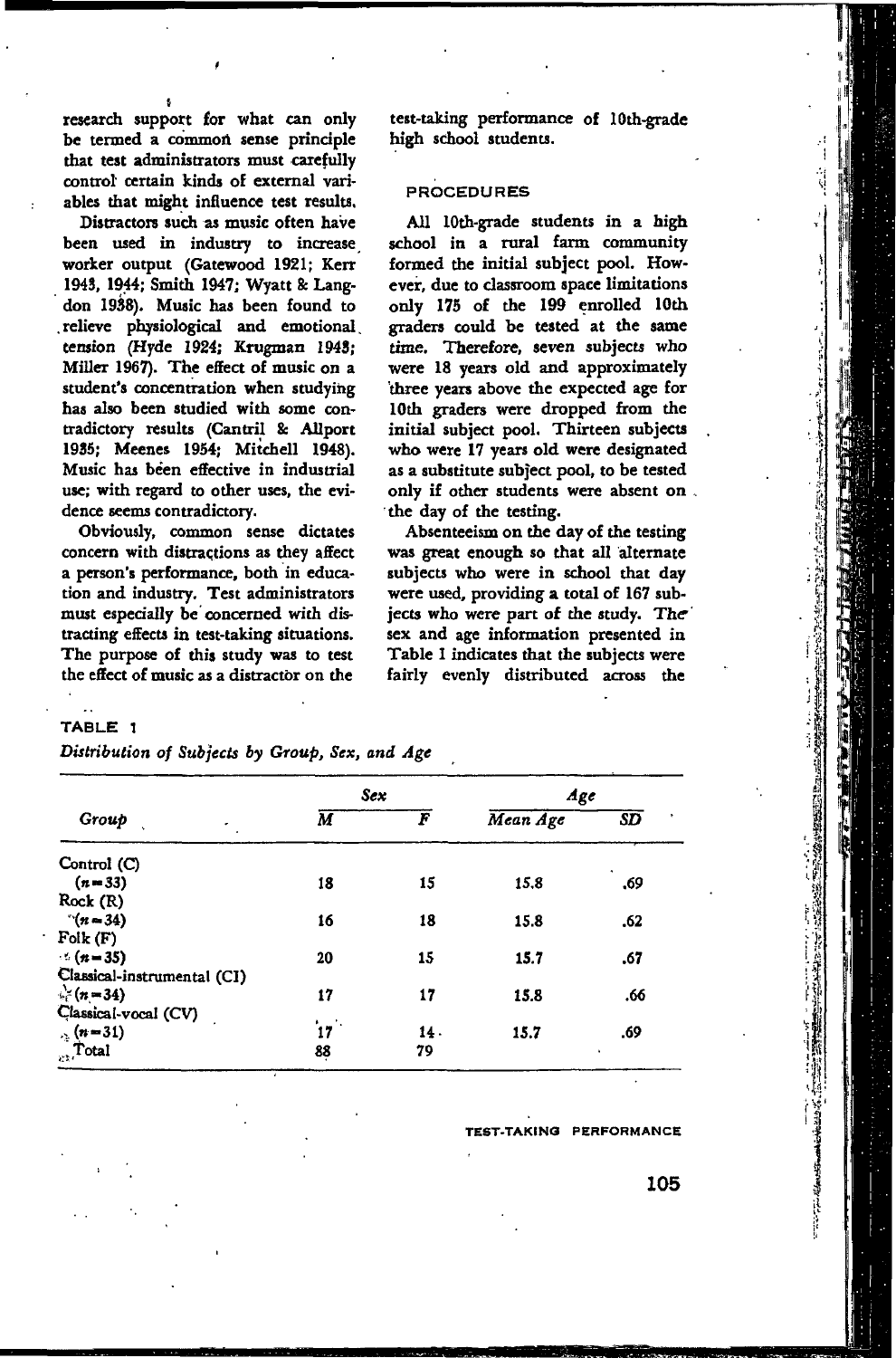research support for what can only be termed a common sense principle that test administrators must carefully control certain kinds of external variables that might influence test results.

Distractors such as music often have been used in industry to increase worker output (Gatewood 1921; Kerr 1943, 1944; Smith 1947; Wyatt & Langdon 1938). Music has been found to .relieve physiological and emotional, tension (Hyde 1924; Krugman 1943; Miller 1967). The effect of music on a student's concentration when studying has also been studied with some contradictory results (Cantril & Allport 1935; Meenes 1954; Mitchell 1948). Music has been effective in industrial use; with regard to other uses, the evidence seems contradictory.

Obviously, common sense dictates concern with distractions as they affect a person's performance, both in education and industry. Test administrators must especially be' concerned with distracting effects in test-taking situations. The purpose of this study was to test the effect of music as a distractor on the

test-taking performance of lOth-grade high school students.

#### PROCEDURES

All l0th-grade students in a high school in a rural farm community formed the initial subject pool. However, due to classroom space limitations only 175 of the 199 enrolled 10th graders could be tested at the same time. Therefore, seven subjects who were 18 years old and approximately three years above the expected age for 10th graders were dropped from the initial subject pool. Thirteen subjects who were 17 years old were designated as a substitute subject pool, to be tested only if other students were absent on . the day of the testing.

Absenteeism on the day of the testing was great enough so that all alternate subjects who were in school that day were used, providing a total of 167 subjects who were part of the study. The sex and age information presented in Table I indicates that the subjects were fairly evenly distributed across the

#### TABLE 1

| Distribution of Subjects by Group, Sex, and Age |  |  |  |  |  |  |  |
|-------------------------------------------------|--|--|--|--|--|--|--|
|-------------------------------------------------|--|--|--|--|--|--|--|

|                             |    | Sex | Age      |                          |
|-----------------------------|----|-----|----------|--------------------------|
| Group                       | M  | F   | Mean Age | $\overline{\textbf{SD}}$ |
| Control $(C)$               |    |     |          |                          |
| $(n = 33)$                  | 18 | 15  | 15.8     | .69                      |
| Rock(R)                     |    |     |          |                          |
| $(n = 34)$                  | 16 | 18  | 15.8     | .62                      |
| Folk(F)                     |    |     |          |                          |
| $(n = 35)$                  | 20 | 15  | 15.7     | .67                      |
| Classical-instrumental (CI) |    |     |          |                          |
| $\frac{1}{2}$ (n = 34)      | 17 | 17  | 15.8     | .66                      |
| Classical vocal (CV)        |    |     |          |                          |
| $(n=31)$                    | 17 | 14. | 15.7     | .69                      |
| $_{\cdots}$ Total           | 88 | 79  |          | ٠                        |

TEST-TAKING PERFORMANCE

105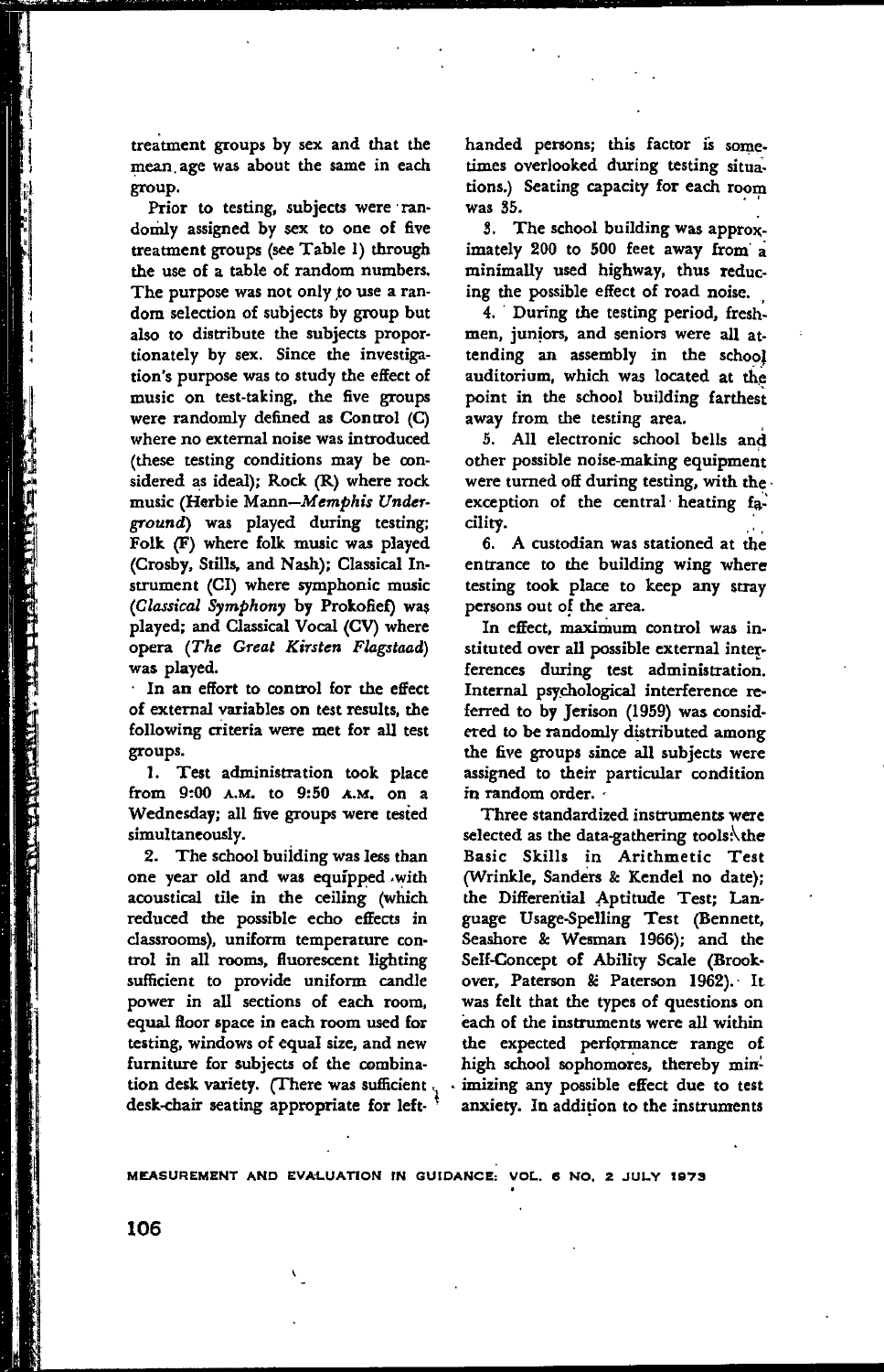treatment groups by sex and that the mean, age was about the same in each group.

Prior to testing, subjects were randomly assigned by sex to one of five treatment groups (see Table 1) through the use of a table of random numbers. The purpose was not only to use a random selection of subjects by group but also to distribute the subjects proportionately by sex. Since the investigation's purpose was to study the effect of music on test-taking, the five groups were randomly defined as Control (C) where no external noise was introduced (these testing conditions may be considered as ideal); Rock (R) where rock music (Herbie Mann*—Memphis Underground*) was played during testing; Folk (F) where folk music was played (Crosby, Stills, and Nash); Classical Instrument (CI) where symphonic music *(Classical Symphony* by Prokofief) was played; and Classical Vocal (CV) where opera *( The Great Kirsten Flagstaad)* was played.

In an effort to control for the effect of external variables on test results, the following criteria were met for all test groups.

1. Test administration took place from 9:00 a.m. to 9:50 a.m. on a Wednesday; all five groups were tested simultaneously.

2. The school building was less than one year old and was equipped .with acoustical tile in the ceiling (which reduced the possible echo effects in classrooms), uniform temperature control in all rooms, fluorescent lighting sufficient to provide uniform candle power in all sections of each room, equal floor space in each room used for testing, windows of equal size, and new furniture for subjects of the combination desk variety. (There was sufficient, desk-chair seating appropriate for lefthanded persons; this factor is sometimes overlooked during testing situations.) Seating capacity for each room was 35.

3. The school building was approximately 200 to 500 feet away from' a minimally used highway, thus reducing the possible effect of road noise.

4. ' During the testing period, freshmen, juniors, and seniors were all attending an assembly in the school auditorium, which was located at the point in the school building farthest away from the testing area.

5. All electronic school bells and other possible noise-making equipment were turned off during testing, with the  $\cdot$ exception of the central heating facility.

6. A custodian was stationed at the entrance to the building wing where testing took place to keep any stray persons out of the area.

In effect, maximum control was instituted over all possible external interferences during test administration. Internal psychological interference referred to by Jerison (1959) was considered to be randomly distributed among the five groups since all subjects were assigned to their particular condition in random order. •

Three standardized instruments were selected as the data-gathering tools:\the Basic Skills in Arithmetic Test (Wrinkle, Sanders & Kendel no date); the Differential Aptitude Test; Language Usage-Spelling Test (Bennett, Seashore & Wesman 1966); and the Self-Concept of Ability Scale (Brookover, Paterson & Paterson 1962). It was felt that the types of questions on each of the instruments were all within the expected performance range of high school sophomores, thereby minimizing any possible effect due to test anxiety. In addition to the instruments

MEASUREMENT AND EVALUATION IN GUIDANCE: VOL. 6 NO. 2 JULY 1973

106

ated when the computation of the computation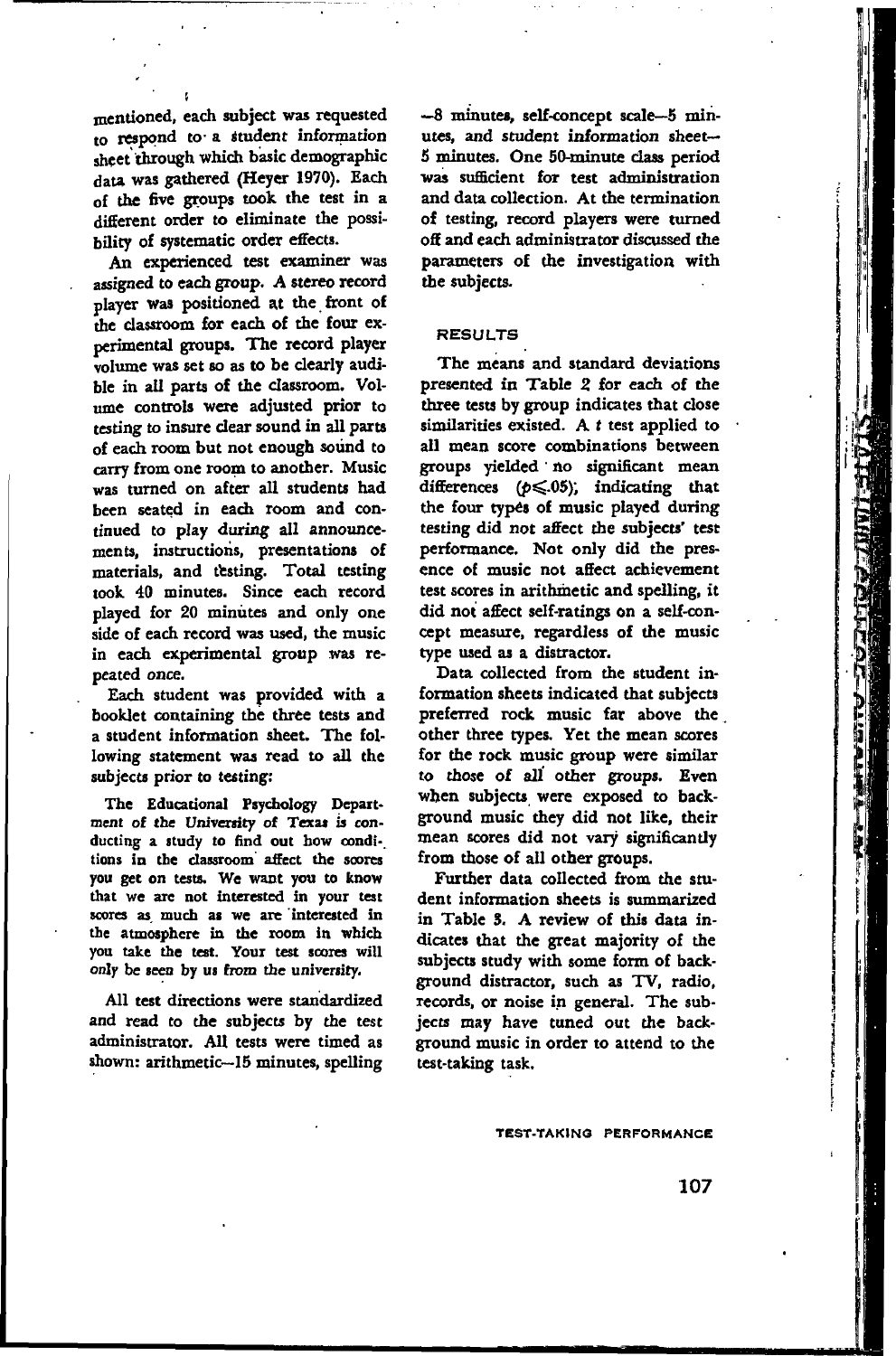mentioned, each subject was requested to respond to a student information sheet through which basic demographic data was gathered (Heyer 1970). Each of the five groups took the test in a different order to eliminate the possibility of systematic order effects.

An experienced test examiner was assigned to each group. A stereo record player was positioned at the front of the classroom for each of the four experimental groups. The record player volume was set so as to be clearly audible in all parts of the classroom. Volume controls were adjusted prior to testing to insure clear sound in all parts of each room but not enough sound to carry from one room to another. Music was turned on after all students had been seated in each room and continued to play during all announcements, instructions, presentations of materials, and testing. Total testing took 40 minutes. Since each record played for 20 minutes and only one side of each record was used, the music in each experimental group was repeated once.

Each student was provided with a booklet containing the three tests and a student information sheet. The following statement was read to all the subjects prior to testing:

The Educational Psychology Department of the University of Texas is conducting a study to find out bow conditions in the classroom affect the scores you get on tests. We want you to know that we are not interested in your test scores as much as we are interested in the atmosphere in the room in which you take the test. Your test scores will only be seen by us from the university.

All test directions were standardized and read to the subjects by the test administrator. All tests were timed as shown: arithmetic—15 minutes, spelling

—8 minutes, self-concept scale—5 minutes, and student information sheet— 5 minutes. One 50-minute class period was sufficient for test administration and data collection. At the termination of testing, record players were turned off and each administrator discussed the parameters of the investigation with the subjects.

### RESULTS

The means and standard deviations presented in Table 2 for each of the three tests by group indicates that close similarities existed. A *t* test applied to all mean score combinations between groups yielded ' no significant mean differences  $(p \le 0.05)$ ; indicating that the four types of music played during testing did not affect the subjects' test performance. Not only did the presence of music not affect achievement test scores in arithmetic and spelling, it did not affect self-ratings on a self-concept measure, regardiess of the music type used as a distractor.

Data collected from the student information sheets indicated that subjects preferred rock music far above the other three types. Yet the mean scores for the rock music group were similar to those of all other groups. Even when subjects were exposed to background music they did not like, their mean scores did not vary significantly from those of all other groups.

Further data collected from the student information sheets is summarized in Table 3. A review of this data indicates that the great majority of the subjects study with some form of background distractor, such as TV, radio, records, or noise in general. The subjects may have tuned out the background music in order to attend to the test-taking task.

TEST-TAKING PERFORMANCE

**107**

1

*f* f-ll

I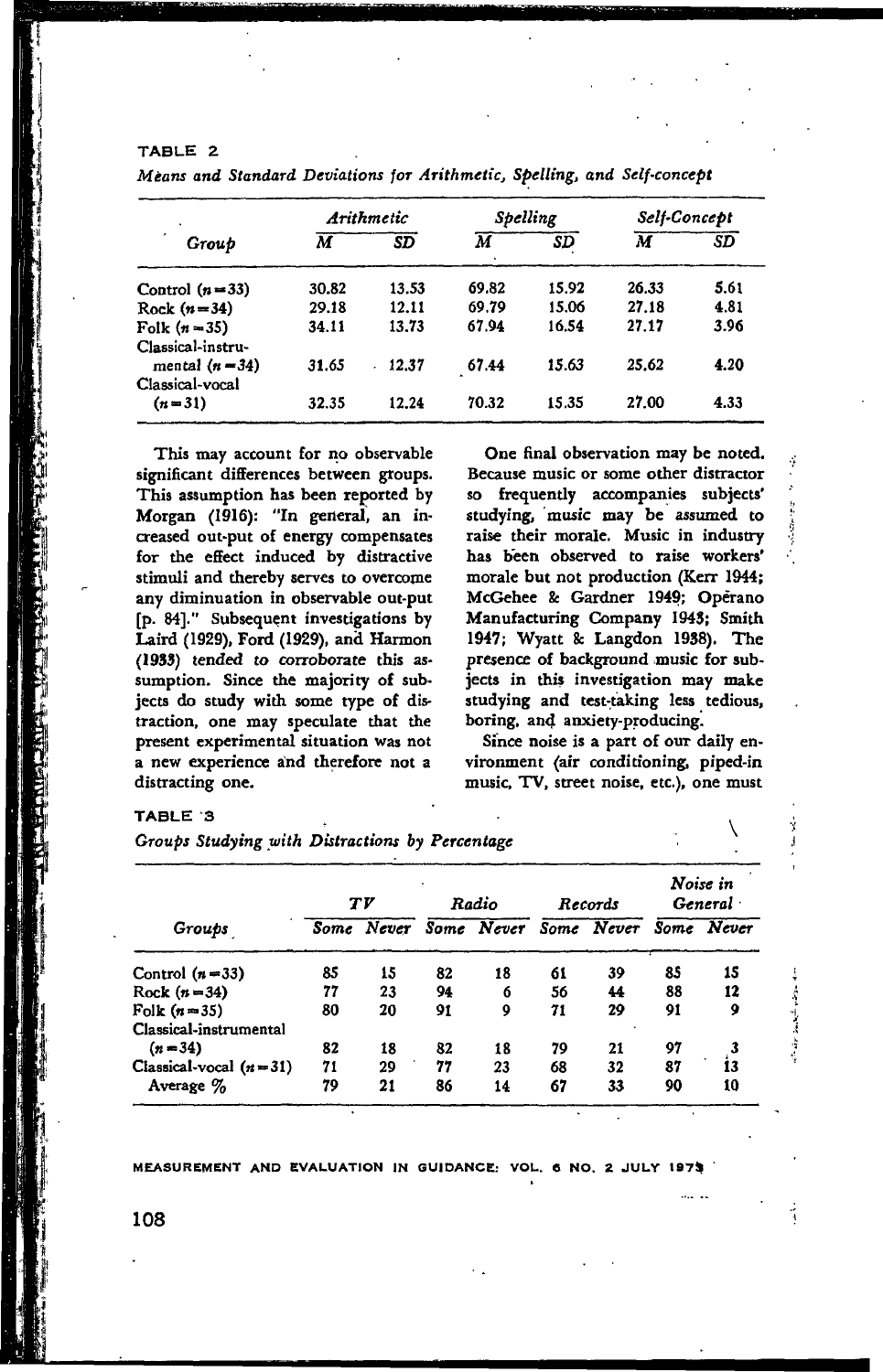TABLE 2

| Group                                | Arithmetic |       |       | Spelling | Self-Concept   |      |
|--------------------------------------|------------|-------|-------|----------|----------------|------|
|                                      | M          | SD    | M     | SD       | $\overline{M}$ | SD   |
| Control $(n=33)$                     | 30.82      | 13.53 | 69.82 | 15.92    | 26.33          | 5.61 |
| Rock $(n=34)$                        | 29.18      | 12.11 | 69.79 | 15.06    | 27.18          | 4.81 |
| Folk $(n = 35)$                      | 34.11      | 13.73 | 67.94 | 16.54    | 27.17          | 3.96 |
| Classical-instru-<br>mental $(n=34)$ | 31.65      | 12.37 | 67.44 | 15.63    | 25.62          | 4.20 |
| Classical-vocal<br>$(n=31)$          | 32.35      | 12.24 | 70.32 | 15.35    | 27.00          | 4.33 |

*Means and Standard Deviations for Arithm etic*, *Spelling*, *and Self-concept*

This may account for no observable significant differences between groups. This assumption has been reported by Morgan (1916): "In general, an increased out-put of energy compensates for the effect induced by distractive stimuli and thereby serves to overcome any diminuation in observable out-put [p. 84]." Subsequent investigations by Laird (1929), Ford (1929), and Hannon (1933) tended to corroborate this assumption. Since the majority of subjects do study with some type of distraction, one may speculate that the present experimental situation was not a new experience and therefore not a distracting one.

One final observation may be noted. Because music or some other distractor so frequently accompanies subjects' studying, music may be assumed to raise their morale. Music in industry has been observed to raise workers' morale but not production (Kerr 1944; McGehee & Gardner 1949; Operano Manufacturing Company 1943; Smith 1947; Wyatt & Langdon 1938). The presence of background music for subjects in this investigation may make studying and test-taking less tedious, boring, and anxiety-producing.

Since noise is a part of our daily environment (air conditioning, piped-in music, TV, street noise, etc.), one must

 $\overline{\phantom{0}}$ 

中国医学中国

## TABLE 3

|                          | $\bm{\tau} \bm{\nu}$ |            | Radio |                       | Records |    | Noise in<br>General · |       |
|--------------------------|----------------------|------------|-------|-----------------------|---------|----|-----------------------|-------|
| Groups                   |                      | Some Never |       | Some Never Some Never |         |    | Some                  | Never |
| Control $(n=33)$         | 85                   | 15         | 82    | 18                    | 61      | 39 | 85                    | 15    |
| Rock $(n = 34)$          | 77                   | 23         | 94    | 6                     | 56      | 44 | 88                    | 12    |
| $Folk$ $(n = 35)$        | 80                   | 20         | 91    | 9                     | 71      | 29 | 91                    | 9     |
| Classical-instrumental   |                      |            |       |                       |         |    |                       |       |
| $(n = 34)$               | 82                   | 18         | 82    | 18                    | 79      | 21 | 97                    |       |
| Classical-vocal $(n=31)$ | 71                   | 29         | 77    | 23                    | 68      | 32 | 87                    | 13    |
| Average %                | 79                   | 21         | 86    | 14                    | 67      | 33 | 90                    | 10    |

*Groups Studying with Distractions by Percentage*

MEASUREMENT AND EVALUATION IN GUIDANCE: VOL. 6 NO. 2 JULY

108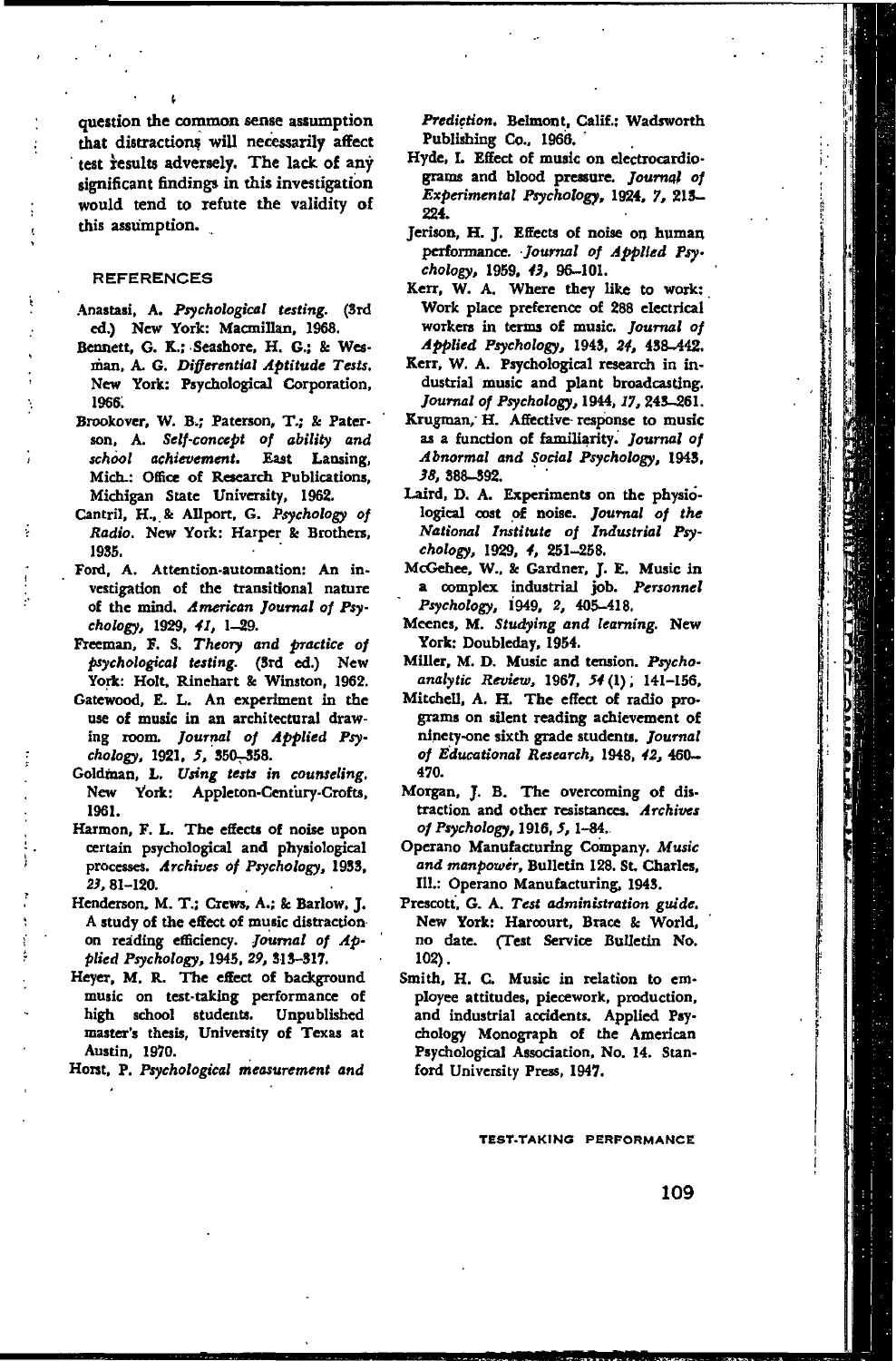question the common sense assumption that distraction; will necessarily affect test results adversely. The lack of any significant findings in this investigation would tend to refute the validity of this assumption.

#### REFERENCES

- Anastasi, A. *Psychological testing.* (3rd ed.) New York: Macmillan, 1968.
- Bennett, G. K.; Seashore, H. G.; & Wesman, A. G. *Differential Aptitude Tests.* New York: Psychological Corporation, 1966;
- Brookover, W. B.; Paterson, T.; & Paterson, A. *Self-concept of ability and school achievement.* East Lansing, Mich.: Office of Research Publications, Michigan State University, 1962.
- Cantril, H.. & Allport, G. *Psychology of Radio.* New York: Harper *&* Brothers, 1935.
- Ford, A. Attention-automation: An investigation of the transitional nature of the mind. *American Journal of Psychology,* 1929, *41,* 1-29.
- Freeman, F. S. *Theory and practice of psychological testing.* (3rd ed.) New York: Holt, Rinehart & Winston, 1962.
- Gatewood, E. L. An experiment in the use of music in an architectural drawing room. *Journal of Applied Psychology,* 1921, *5,* 350^358.
- Goldman, L. *Using tests in counseling.* New York: Appleton-Century-Crofts, 1961.
- Harmon, F. L. The effects of noise upon certain psychological and physiological processes. *Archives of Psychology,* 1933, *23,* 81-120.
- Henderson. M. T.; Crews, A.; *Sc* Barlow, J. A study of the effect of music distraction on reading efficiency. *Journal of Applied Psychology,* 1945, *29,* 313-317.
- Heyer, M. R. The effect of background music on test-taking performance of high school students. Unpublished master's thesis. University of Texas at Austin, 1970.
- Horst, P. Psychological measurement and

*Prediction,* Belmont, Calif.: Wadsworth Publishing Co., 1966.

- Hyde, L Effect of music on electrocardiograms and blood pressure. *Journal of Experimental Psychology,* 1924, *7,* 213— 224.
- Jerison, H. J. Effects of noise on human performance. *Journal of Applied Psychology,* 1959, *43,* 96-101.
- Kerr, W. A. Where they like to work: Work place preference of 288 electrical workers in terms of music. *Journal of Applied Psychology,* 194\$, *24,* 438-442.
- Kerr, W. A. Psychological research in industrial music and plant broadcasting. *Journal of Psychology,* 1944,*17,*243-261.
- Krugman,' H. Affective- response to music as a function of familiarity. *Journal of Abnormal and Social Psychology,* 1943, *38,* 388-392.
- Laird, D. A. Experiments on the physiological cost of noise. *Journal of the national Institute of Industrial Psychology,* 1929, *4,* 251-258.
- McGehee, W., *Sc* Gardner, J. E. Music in a complex industrial job. *Personnel Psychology,* 1949, 2, 405-418.
- Meenes, M. *Studying and learning.* New York: Doubleday, 1954.
- Miller, M. D. Music and tension. *Psychoanalytic Review,* 1967, *34 (* 1), 141-156,
- Mitchell, A. H. The effect of radio programs on silent reading achievement of ninety-one sixth grade students. *Journal of Educational Research,* 1948, *42,* 460— 470.
- Morgan, *J.* B. The overcoming of distraction and other resistances. *Archives of Psychology,* 1916,*3,* 1-84.
- Operano Manufacturing Company. *Music and manpower.* Bulletin 128. St. Charles, III.: Operano Manufacturing, 1943.
- Prescott, G. A. *Test administration guide.* New York: Harcourt, Brace & World, no date. (Test Service Bulletin No. 102**).**
- Smith, H. C. Music in relation to employee attitudes, piecework, production, and industrial accidents. Applied Psychology Monograph of the American Psychological Association, No. 14. Stanford University Press, 1947.

TEST-TAKING PERFORMANCE